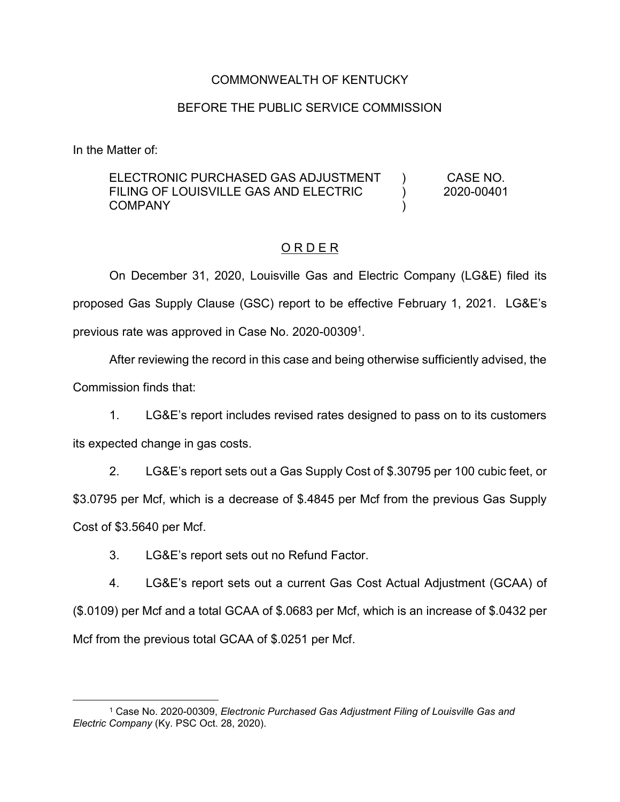## COMMONWEALTH OF KENTUCKY

# BEFORE THE PUBLIC SERVICE COMMISSION

In the Matter of:

#### ELECTRONIC PURCHASED GAS ADJUSTMENT FILING OF LOUISVILLE GAS AND ELECTRIC COMPANY ) )  $\lambda$ CASE NO. 2020-00401

# O R D E R

On December 31, 2020, Louisville Gas and Electric Company (LG&E) filed its proposed Gas Supply Clause (GSC) report to be effective February 1, 2021. LG&E's previous rate was approved in Case No. 2020-003091.

After reviewing the record in this case and being otherwise sufficiently advised, the Commission finds that:

1. LG&E's report includes revised rates designed to pass on to its customers its expected change in gas costs.

2. LG&E's report sets out a Gas Supply Cost of \$.30795 per 100 cubic feet, or \$3.0795 per Mcf, which is a decrease of \$.4845 per Mcf from the previous Gas Supply Cost of \$3.5640 per Mcf.

3. LG&E's report sets out no Refund Factor.

4. LG&E's report sets out a current Gas Cost Actual Adjustment (GCAA) of (\$.0109) per Mcf and a total GCAA of \$.0683 per Mcf, which is an increase of \$.0432 per Mcf from the previous total GCAA of \$.0251 per Mcf.

 <sup>1</sup> Case No. 2020-00309, *Electronic Purchased Gas Adjustment Filing of Louisville Gas and Electric Company* (Ky. PSC Oct. 28, 2020).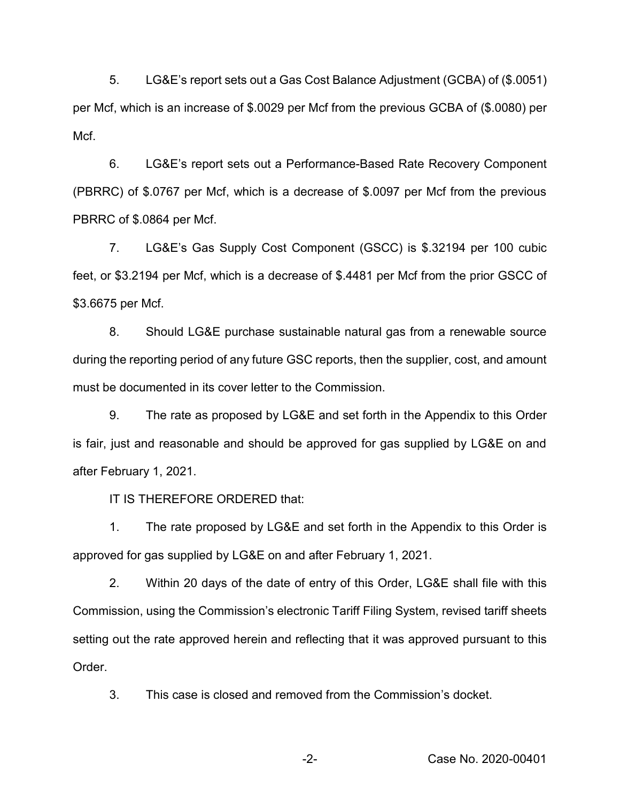5. LG&E's report sets out a Gas Cost Balance Adjustment (GCBA) of (\$.0051) per Mcf, which is an increase of \$.0029 per Mcf from the previous GCBA of (\$.0080) per Mcf.

6. LG&E's report sets out a Performance-Based Rate Recovery Component (PBRRC) of \$.0767 per Mcf, which is a decrease of \$.0097 per Mcf from the previous PBRRC of \$.0864 per Mcf.

7. LG&E's Gas Supply Cost Component (GSCC) is \$.32194 per 100 cubic feet, or \$3.2194 per Mcf, which is a decrease of \$.4481 per Mcf from the prior GSCC of \$3.6675 per Mcf.

8. Should LG&E purchase sustainable natural gas from a renewable source during the reporting period of any future GSC reports, then the supplier, cost, and amount must be documented in its cover letter to the Commission.

9. The rate as proposed by LG&E and set forth in the Appendix to this Order is fair, just and reasonable and should be approved for gas supplied by LG&E on and after February 1, 2021.

IT IS THEREFORE ORDERED that:

1. The rate proposed by LG&E and set forth in the Appendix to this Order is approved for gas supplied by LG&E on and after February 1, 2021.

2. Within 20 days of the date of entry of this Order, LG&E shall file with this Commission, using the Commission's electronic Tariff Filing System, revised tariff sheets setting out the rate approved herein and reflecting that it was approved pursuant to this Order.

3. This case is closed and removed from the Commission's docket.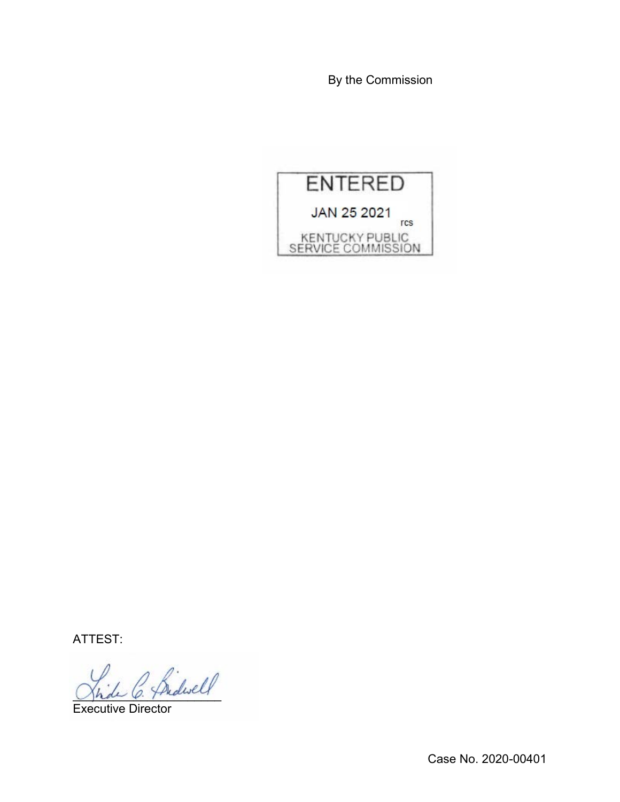By the Commission



ATTEST:

2 fridwell

Executive Director

Case No. 2020-00401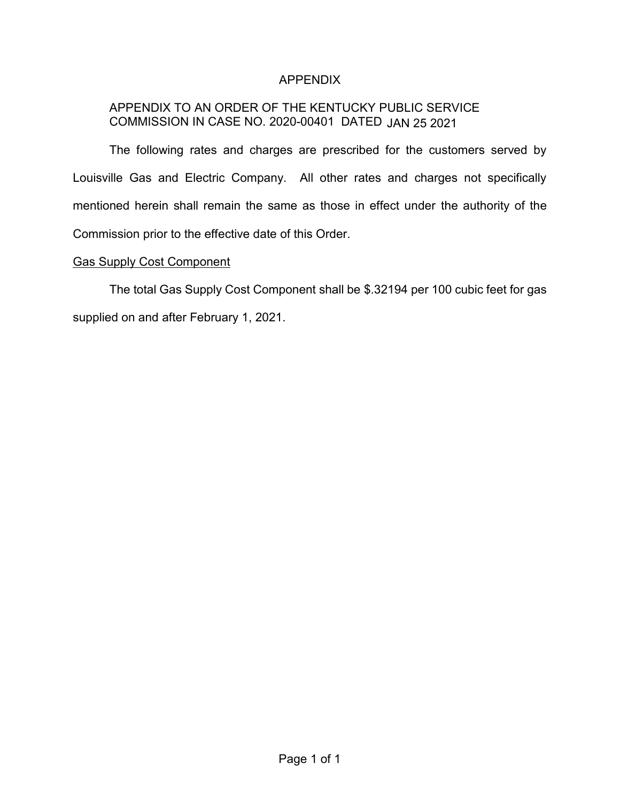# APPENDIX

# APPENDIX TO AN ORDER OF THE KENTUCKY PUBLIC SERVICE COMMISSION IN CASE NO. 2020-00401 DATED JAN 25 2021

The following rates and charges are prescribed for the customers served by Louisville Gas and Electric Company. All other rates and charges not specifically mentioned herein shall remain the same as those in effect under the authority of the Commission prior to the effective date of this Order.

#### Gas Supply Cost Component

The total Gas Supply Cost Component shall be \$.32194 per 100 cubic feet for gas supplied on and after February 1, 2021.